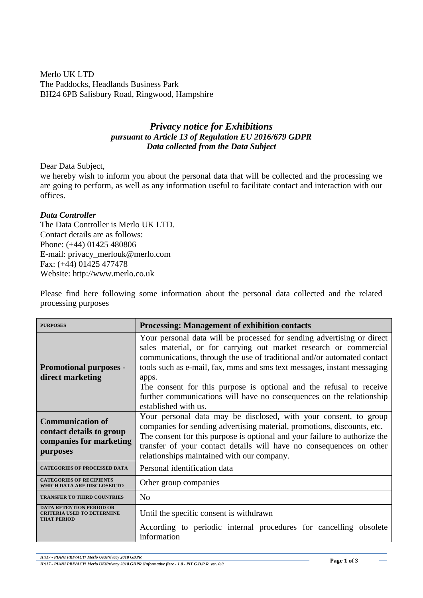Merlo UK LTD The Paddocks, Headlands Business Park BH24 6PB Salisbury Road, Ringwood, Hampshire

## *Privacy notice for Exhibitions pursuant to Article 13 of Regulation EU 2016/679 GDPR Data collected from the Data Subject*

Dear Data Subject,

we hereby wish to inform you about the personal data that will be collected and the processing we are going to perform, as well as any information useful to facilitate contact and interaction with our offices.

## *Data Controller*

The Data Controller is Merlo UK LTD. Contact details are as follows: Phone: (+44) 01425 480806 E-mail: privacy\_merlouk@merlo.com Fax: (+44) 01425 477478 Website: http://www.merlo.co.uk

Please find here following some information about the personal data collected and the related processing purposes

| <b>PURPOSES</b>                                                                            | <b>Processing: Management of exhibition contacts</b>                                                                                                                                                                                                                                                                                                                                                                                                                              |
|--------------------------------------------------------------------------------------------|-----------------------------------------------------------------------------------------------------------------------------------------------------------------------------------------------------------------------------------------------------------------------------------------------------------------------------------------------------------------------------------------------------------------------------------------------------------------------------------|
| <b>Promotional purposes -</b><br>direct marketing                                          | Your personal data will be processed for sending advertising or direct<br>sales material, or for carrying out market research or commercial<br>communications, through the use of traditional and/or automated contact<br>tools such as e-mail, fax, mms and sms text messages, instant messaging<br>apps.<br>The consent for this purpose is optional and the refusal to receive<br>further communications will have no consequences on the relationship<br>established with us. |
| <b>Communication of</b><br>contact details to group<br>companies for marketing<br>purposes | Your personal data may be disclosed, with your consent, to group<br>companies for sending advertising material, promotions, discounts, etc.<br>The consent for this purpose is optional and your failure to authorize the<br>transfer of your contact details will have no consequences on other<br>relationships maintained with our company.                                                                                                                                    |
| <b>CATEGORIES OF PROCESSED DATA</b>                                                        | Personal identification data                                                                                                                                                                                                                                                                                                                                                                                                                                                      |
| <b>CATEGORIES OF RECIPIENTS</b><br>WHICH DATA ARE DISCLOSED TO                             | Other group companies                                                                                                                                                                                                                                                                                                                                                                                                                                                             |
| <b>TRANSFER TO THIRD COUNTRIES</b>                                                         | N <sub>0</sub>                                                                                                                                                                                                                                                                                                                                                                                                                                                                    |
| <b>DATA RETENTION PERIOD OR</b><br><b>TERIA USED TO DETERMINE</b><br><b>THAT PERIOD</b>    | Until the specific consent is withdrawn<br>According to periodic internal procedures for cancelling obsolete<br>information                                                                                                                                                                                                                                                                                                                                                       |

*H:\17 - PIANI PRIVACY\ Merlo UK\Privacy 2018 GDPR*

*H:\17 - PIANI PRIVACY\ Merlo UK\Privacy 2018 GDPR \Informative fiere - 1.0 - PiT G.D.P.R. ver. 0.0*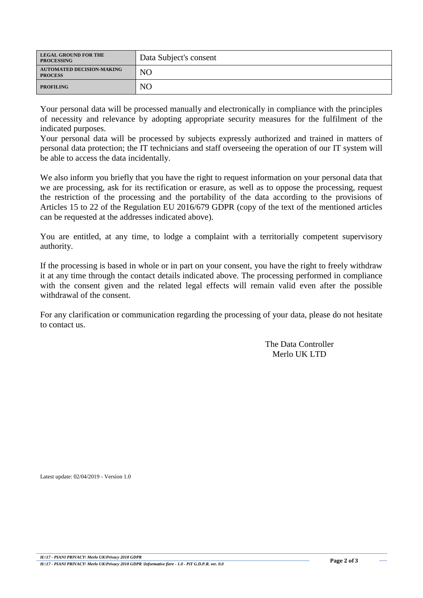| <b>LEGAL GROUND FOR THE</b><br><b>PROCESSING</b>   | Data Subject's consent |
|----------------------------------------------------|------------------------|
| <b>AUTOMATED DECISION-MAKING</b><br><b>PROCESS</b> | N <sub>O</sub>         |
| <b>PROFILING</b>                                   | NΟ                     |

Your personal data will be processed manually and electronically in compliance with the principles of necessity and relevance by adopting appropriate security measures for the fulfilment of the indicated purposes.

Your personal data will be processed by subjects expressly authorized and trained in matters of personal data protection; the IT technicians and staff overseeing the operation of our IT system will be able to access the data incidentally.

We also inform you briefly that you have the right to request information on your personal data that we are processing, ask for its rectification or erasure, as well as to oppose the processing, request the restriction of the processing and the portability of the data according to the provisions of Articles 15 to 22 of the Regulation EU 2016/679 GDPR (copy of the text of the mentioned articles can be requested at the addresses indicated above).

You are entitled, at any time, to lodge a complaint with a territorially competent supervisory authority.

If the processing is based in whole or in part on your consent, you have the right to freely withdraw it at any time through the contact details indicated above. The processing performed in compliance with the consent given and the related legal effects will remain valid even after the possible withdrawal of the consent.

For any clarification or communication regarding the processing of your data, please do not hesitate to contact us.

> The Data Controller Merlo UK LTD

Latest update: 02/04/2019 - Version 1.0